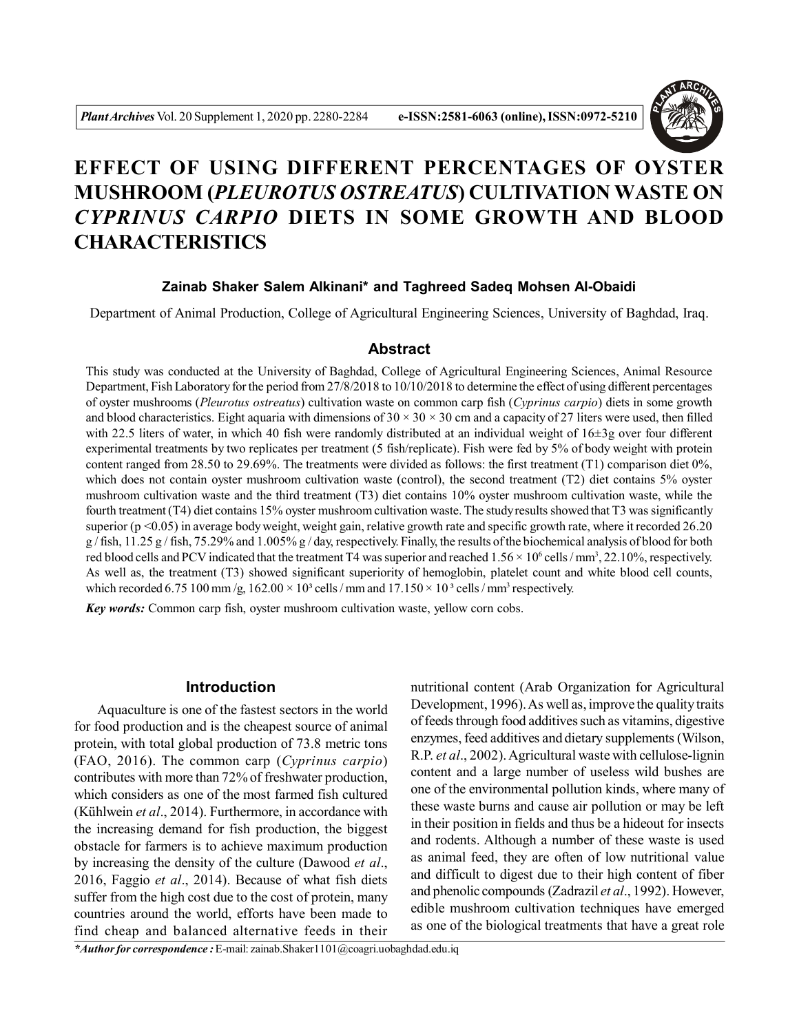

# **EFFECT OF USING DIFFERENT PERCENTAGES OF OYSTER MUSHROOM (***PLEUROTUS OSTREATUS***) CULTIVATION WASTE ON** *CYPRINUS CARPIO* **DIETS IN SOME GROWTH AND BLOOD CHARACTERISTICS**

## **Zainab Shaker Salem Alkinani\* and Taghreed Sadeq Mohsen Al-Obaidi**

Department of Animal Production, College of Agricultural Engineering Sciences, University of Baghdad, Iraq.

#### **Abstract**

This study was conducted at the University of Baghdad, College of Agricultural Engineering Sciences, Animal Resource Department, Fish Laboratory for the period from 27/8/2018 to 10/10/2018 to determine the effect of using different percentages of oyster mushrooms (*Pleurotus ostreatus*) cultivation waste on common carp fish (*Cyprinus carpio*) diets in some growth and blood characteristics. Eight aquaria with dimensions of  $30 \times 30 \times 30$  cm and a capacity of 27 liters were used, then filled with 22.5 liters of water, in which 40 fish were randomly distributed at an individual weight of 16±3g over four different experimental treatments by two replicates per treatment (5 fish/replicate). Fish were fed by 5% of body weight with protein content ranged from 28.50 to 29.69%. The treatments were divided as follows: the first treatment (T1) comparison diet 0%, which does not contain oyster mushroom cultivation waste (control), the second treatment (T2) diet contains 5% oyster mushroom cultivation waste and the third treatment (T3) diet contains 10% oyster mushroom cultivation waste, while the fourth treatment (T4) diet contains 15% oyster mushroom cultivation waste.The study results showed that T3 was significantly superior ( $p \le 0.05$ ) in average body weight, weight gain, relative growth rate and specific growth rate, where it recorded 26.20  $g$  / fish, 11.25 g / fish, 75.29% and 1.005% g / day, respectively. Finally, the results of the biochemical analysis of blood for both red blood cells and PCV indicated that the treatment T4 was superior and reached  $1.56 \times 10^6$  cells /mm<sup>3</sup>, 22.10%, respectively. As well as, the treatment (T3) showed significant superiority of hemoglobin, platelet count and white blood cell counts, which recorded 6.75 100 mm/g,  $162.00 \times 10^3$  cells / mm and  $17.150 \times 10^3$  cells / mm<sup>3</sup> respectively.

*Key words:* Common carp fish, oyster mushroom cultivation waste, yellow corn cobs.

### **Introduction**

Aquaculture is one of the fastest sectors in the world for food production and is the cheapest source of animal protein, with total global production of 73.8 metric tons (FAO, 2016). The common carp (*Cyprinus carpio*) contributes with more than 72% of freshwater production, which considers as one of the most farmed fish cultured (Kühlwein *et al*., 2014). Furthermore, in accordance with the increasing demand for fish production, the biggest obstacle for farmers is to achieve maximum production by increasing the density of the culture (Dawood *et al*., 2016, Faggio *et al*., 2014). Because of what fish diets suffer from the high cost due to the cost of protein, many countries around the world, efforts have been made to find cheap and balanced alternative feeds in their

nutritional content (Arab Organization for Agricultural Development, 1996). As well as, improve the quality traits of feeds through food additives such as vitamins, digestive enzymes, feed additives and dietary supplements (Wilson, R.P. *et al*., 2002).Agricultural waste with cellulose-lignin content and a large number of useless wild bushes are one of the environmental pollution kinds, where many of these waste burns and cause air pollution or may be left in their position in fields and thus be a hideout for insects and rodents. Although a number of these waste is used as animal feed, they are often of low nutritional value and difficult to digest due to their high content of fiber and phenolic compounds (Zadrazil *et al*., 1992). However, edible mushroom cultivation techniques have emerged as one of the biological treatments that have a great role

*\*Author for correspondence :* E-mail: zainab.Shaker1101@coagri.uobaghdad.edu.iq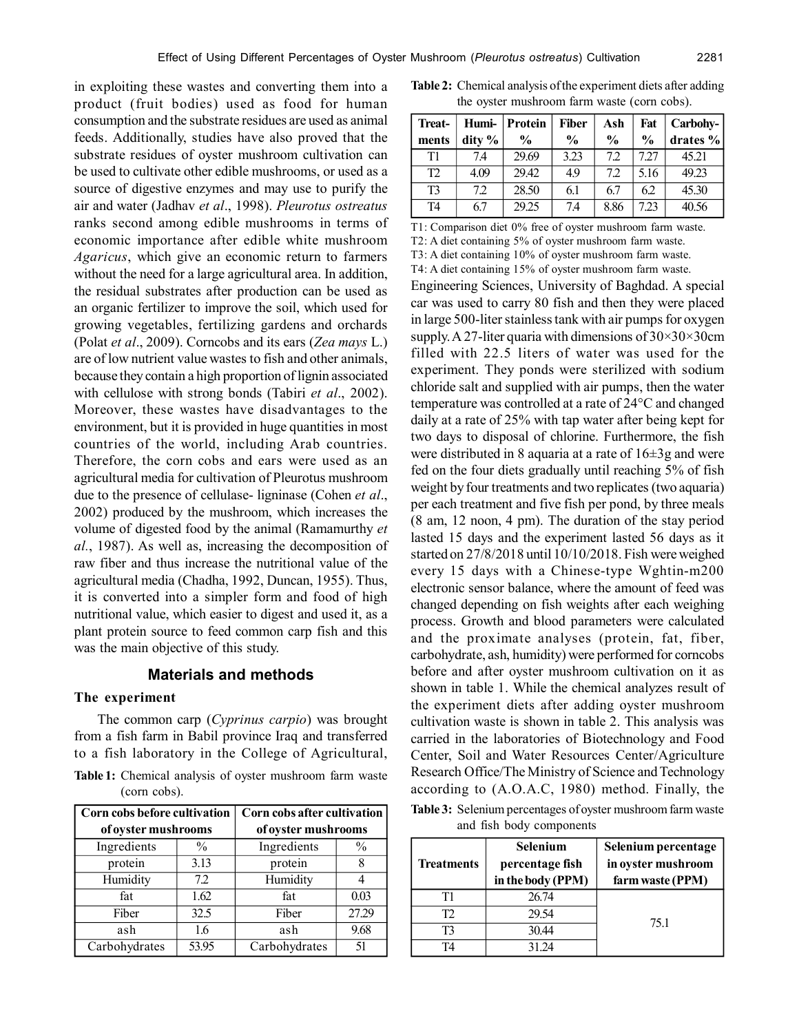in exploiting these wastes and converting them into a product (fruit bodies) used as food for human consumption and the substrate residues are used as animal feeds. Additionally, studies have also proved that the substrate residues of oyster mushroom cultivation can be used to cultivate other edible mushrooms, or used as a source of digestive enzymes and may use to purify the air and water (Jadhav *et al*., 1998). *Pleurotus ostreatus* ranks second among edible mushrooms in terms of economic importance after edible white mushroom *Agaricus*, which give an economic return to farmers without the need for a large agricultural area. In addition, the residual substrates after production can be used as an organic fertilizer to improve the soil, which used for growing vegetables, fertilizing gardens and orchards (Polat *et al*., 2009). Corncobs and its ears (*Zea mays* L.) are of low nutrient value wastes to fish and other animals, because they contain a high proportion of lignin associated with cellulose with strong bonds (Tabiri *et al*., 2002). Moreover, these wastes have disadvantages to the environment, but it is provided in huge quantities in most countries of the world, including Arab countries. Therefore, the corn cobs and ears were used as an agricultural media for cultivation of Pleurotus mushroom due to the presence of cellulase- ligninase (Cohen *et al*., 2002) produced by the mushroom, which increases the volume of digested food by the animal (Ramamurthy *et al.*, 1987). As well as, increasing the decomposition of raw fiber and thus increase the nutritional value of the agricultural media (Chadha, 1992, Duncan, 1955). Thus, it is converted into a simpler form and food of high nutritional value, which easier to digest and used it, as a plant protein source to feed common carp fish and this was the main objective of this study.

### **Materials and methods**

#### **The experiment**

The common carp (*Cyprinus carpio*) was brought from a fish farm in Babil province Iraq and transferred to a fish laboratory in the College of Agricultural,

**Table 1:** Chemical analysis of oyster mushroom farm waste (corn cobs).

| Corn cobs before cultivation |               | Corn cobs after cultivation |               |  |
|------------------------------|---------------|-----------------------------|---------------|--|
| of oyster mushrooms          |               | of oyster mushrooms         |               |  |
| Ingredients                  | $\frac{0}{0}$ | Ingredients                 | $\frac{0}{0}$ |  |
| protein                      | 3.13          | protein                     | 8             |  |
| Humidity                     | 7.2           | Humidity                    |               |  |
| fat                          | 1.62          | fat                         | 0.03          |  |
| Fiber                        | 32.5          | Fiber                       | 27.29         |  |
| ash                          | 1.6           | ash                         | 9.68          |  |
| Carbohydrates                | 53.95         | Carbohydrates               | 51            |  |

**Table 2:** Chemical analysis of the experiment diets after adding the oyster mushroom farm waste (corn cobs).

| Treat-         |        | Humi-   Protein | <b>Fiber</b>  | Ash           | Fat           | Carbohy-    |
|----------------|--------|-----------------|---------------|---------------|---------------|-------------|
| ments          | dity % | $\frac{6}{9}$   | $\frac{0}{0}$ | $\frac{6}{9}$ | $\frac{0}{0}$ | drates $\%$ |
| T1             | 74     | 29.69           | 3.23          | 72            | 727           | 45.21       |
| T <sub>2</sub> | 4.09   | 29.42           | 49            | 72            | 5.16          | 49.23       |
| T <sub>3</sub> | 7.2    | 28.50           | 6.1           | 6.7           | 6.2           | 45.30       |
| T4             | 6.7    | 29.25           | 7.4           | 8.86          | 7.23          | 40.56       |

T1: Comparison diet 0% free of oyster mushroom farm waste.

T2: A diet containing 5% of oyster mushroom farm waste.

T3: A diet containing 10% of oyster mushroom farm waste.

T4: A diet containing 15% of oyster mushroom farm waste.

Engineering Sciences, University of Baghdad. A special car was used to carry 80 fish and then they were placed in large 500-liter stainless tank with air pumps for oxygen supply. A 27-liter quaria with dimensions of  $30\times30\times30$ cm filled with 22.5 liters of water was used for the experiment. They ponds were sterilized with sodium chloride salt and supplied with air pumps, then the water temperature was controlled at a rate of 24°C and changed daily at a rate of 25% with tap water after being kept for two days to disposal of chlorine. Furthermore, the fish were distributed in 8 aquaria at a rate of 16±3g and were fed on the four diets gradually until reaching 5% of fish weight by four treatments and two replicates (two aquaria) per each treatment and five fish per pond, by three meals (8 am, 12 noon, 4 pm). The duration of the stay period lasted 15 days and the experiment lasted 56 days as it started on 27/8/2018 until 10/10/2018. Fish were weighed every 15 days with a Chinese-type Wghtin-m200 electronic sensor balance, where the amount of feed was changed depending on fish weights after each weighing process. Growth and blood parameters were calculated and the proximate analyses (protein, fat, fiber, carbohydrate, ash, humidity) were performed for corncobs before and after oyster mushroom cultivation on it as shown in table 1. While the chemical analyzes result of the experiment diets after adding oyster mushroom cultivation waste is shown in table 2. This analysis was carried in the laboratories of Biotechnology and Food Center, Soil and Water Resources Center/Agriculture Research Office/The Ministry of Science and Technology according to (A.O.A.C, 1980) method. Finally, the

**Table 3:** Selenium percentages of oyster mushroom farm waste and fish body components

| <b>Treatments</b> | <b>Selenium</b><br>percentage fish<br>in the body (PPM) | Selenium percentage<br>in oyster mushroom<br>farm waste (PPM) |
|-------------------|---------------------------------------------------------|---------------------------------------------------------------|
| Τ1                | 26.74                                                   |                                                               |
| T2                | 29.54                                                   |                                                               |
| T3                | 30.44                                                   | 751                                                           |
| T4                | 31 24                                                   |                                                               |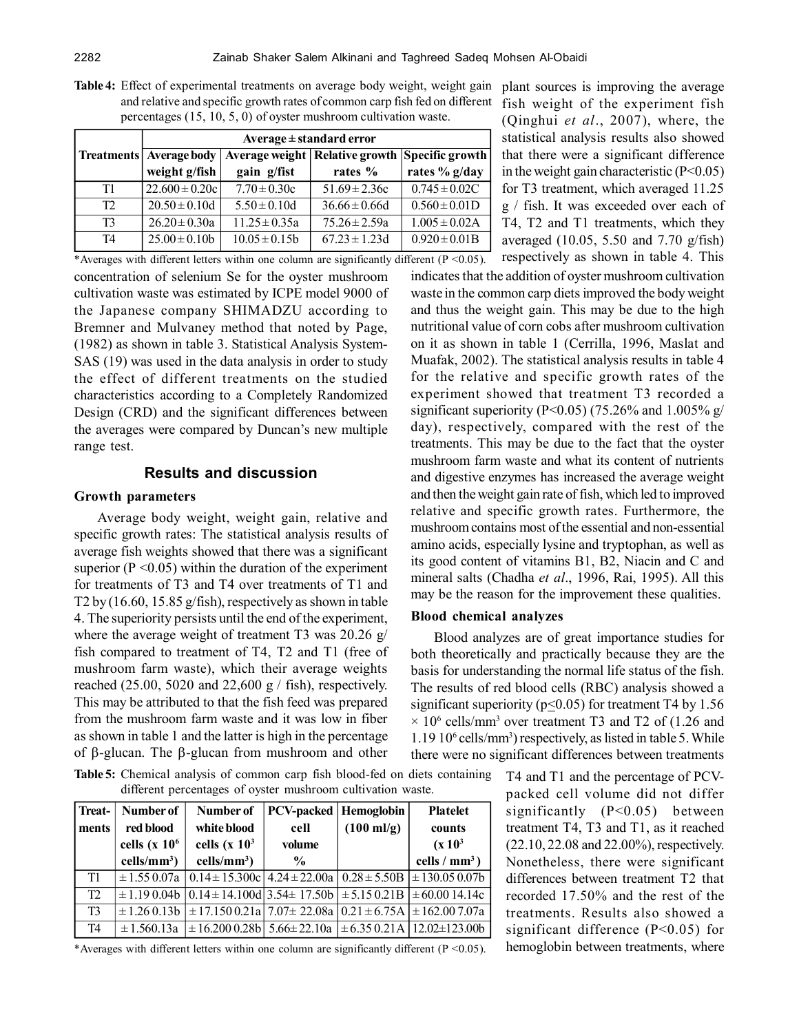| $p$ of comages $(13, 10, 3, 0)$ or ovsice music competition was $\alpha$ . |                              |                   |                                                    |                    |  |
|----------------------------------------------------------------------------|------------------------------|-------------------|----------------------------------------------------|--------------------|--|
|                                                                            | $Average \pm standard error$ |                   |                                                    |                    |  |
| <b>Treatments</b>                                                          | Average body                 |                   | Average weight   Relative growth   Specific growth |                    |  |
|                                                                            | weight g/fish                | gain g/fist       | rates %                                            | rates % g/day      |  |
| T1                                                                         | $22.600 \pm 0.20c$           | $7.70 \pm 0.30c$  | $51.69 \pm 2.36c$                                  | $0.745 \pm 0.02C$  |  |
| T2                                                                         | $20.50 \pm 0.10d$            | $5.50 \pm 0.10d$  | $36.66 \pm 0.66d$                                  | $0.560 \pm 0.01D$  |  |
| T3                                                                         | $26.20 \pm 0.30a$            | $11.25 \pm 0.35a$ | $75.26 \pm 2.59a$                                  | $1.005 \pm 0.02$ A |  |
| T <sub>4</sub>                                                             | $25.00 \pm 0.10b$            | $10.05 \pm 0.15b$ | $67.23 \pm 1.23d$                                  | $0.920 \pm 0.01B$  |  |

**Table 4:** Effect of experimental treatments on average body weight, weight gain plant sources is improving the average and relative and specific growth rates of common carp fish fed on different percentages (15, 10, 5, 0) of oyster mushroom cultivation waste.

concentration of selenium Se for the oyster mushroom cultivation waste was estimated by ICPE model 9000 of the Japanese company SHIMADZU according to Bremner and Mulvaney method that noted by Page, (1982) as shown in table 3. Statistical Analysis System-SAS (19) was used in the data analysis in order to study the effect of different treatments on the studied characteristics according to a Completely Randomized Design (CRD) and the significant differences between the averages were compared by Duncan's new multiple range test. \*Averages with different letters within one column are significantly different ( $P < 0.05$ ).

# **Results and discussion**

## **Growth parameters**

Average body weight, weight gain, relative and specific growth rates: The statistical analysis results of average fish weights showed that there was a significant superior ( $P \le 0.05$ ) within the duration of the experiment for treatments of T3 and T4 over treatments of T1 and T2 by (16.60, 15.85 g/fish), respectively as shown in table 4. The superiority persists until the end of the experiment, where the average weight of treatment T3 was 20.26 g/ fish compared to treatment of T4, T2 and T1 (free of mushroom farm waste), which their average weights reached (25.00, 5020 and 22,600 g  $/$  fish), respectively. This may be attributed to that the fish feed was prepared from the mushroom farm waste and it was low in fiber as shown in table 1 and the latter is high in the percentage of  $\beta$ -glucan. The  $\beta$ -glucan from mushroom and other

**Table 5:** Chemical analysis of common carp fish blood-fed on diets containing different percentages of oyster mushroom cultivation waste.

| Treat-         | Number of          | Number of                                                                                         | <b>PCV-packed   Hemoglobin</b> |                      | <b>Platelet</b>     |
|----------------|--------------------|---------------------------------------------------------------------------------------------------|--------------------------------|----------------------|---------------------|
| ments          | red blood          | white blood                                                                                       | cell                           | $(100 \text{ ml/g})$ | counts              |
|                | cells ( $x$ 10 $6$ | cells (x $103$                                                                                    | volume                         |                      | (x10 <sup>3</sup> ) |
|                | $cells/mm^3)$      | $cells/mm^3)$                                                                                     | $\frac{0}{0}$                  |                      | cells / $mm3$ )     |
| T1             |                    | $\pm 1.55$ 0.07a   0.14 $\pm$ 15.300c   4.24 $\pm$ 22.00a   0.28 $\pm$ 5.50B   $\pm$ 130.05 0.07b |                                |                      |                     |
| T <sub>2</sub> |                    | $\pm$ 1.19 0.04b   0.14 $\pm$ 14.100d   3.54 $\pm$ 17.50b   $\pm$ 5.15 0.21B   $\pm$ 60.00 14.14c |                                |                      |                     |
| T <sub>3</sub> |                    | $\pm 1.26$ 0.13b $\pm 17.150$ 0.21a 7.07 $\pm$ 22.08a $\pm$ 0.21 $\pm$ 6.75A $\pm$ 162.007.07a    |                                |                      |                     |
| T4             | $\pm 1.560.13a$    | $\pm 16.200 0.28b$ 5.66±22.10a $\pm 6.35 0.21A$ 12.02±123.00b                                     |                                |                      |                     |

\*Averages with different letters within one column are significantly different  $(P < 0.05)$ .

fish weight of the experiment fish (Qinghui *et al*., 2007), where, the statistical analysis results also showed that there were a significant difference in the weight gain characteristic  $(P<0.05)$ for T3 treatment, which averaged 11.25 g / fish. It was exceeded over each of T4, T2 and T1 treatments, which they averaged (10.05, 5.50 and 7.70 g/fish) respectively as shown in table 4. This

indicates that the addition of oyster mushroom cultivation waste in the common carp diets improved the body weight and thus the weight gain. This may be due to the high nutritional value of corn cobs after mushroom cultivation on it as shown in table 1 (Cerrilla, 1996, Maslat and Muafak, 2002). The statistical analysis results in table 4 for the relative and specific growth rates of the experiment showed that treatment T3 recorded a significant superiority (P<0.05) (75.26% and 1.005% g/ day), respectively, compared with the rest of the treatments. This may be due to the fact that the oyster mushroom farm waste and what its content of nutrients and digestive enzymes has increased the average weight and then the weight gain rate of fish, which led to improved relative and specific growth rates. Furthermore, the mushroom contains most of the essential and non-essential amino acids, especially lysine and tryptophan, as well as its good content of vitamins B1, B2, Niacin and C and mineral salts (Chadha *et al*., 1996, Rai, 1995). All this may be the reason for the improvement these qualities.

#### **Blood chemical analyzes**

Blood analyzes are of great importance studies for both theoretically and practically because they are the basis for understanding the normal life status of the fish. The results of red blood cells (RBC) analysis showed a significant superiority ( $p<0.05$ ) for treatment T4 by 1.56  $\times$  10<sup>6</sup> cells/mm<sup>3</sup> over treatment T3 and T2 of (1.26 and 1.19 10<sup>6</sup> cells/mm<sup>3</sup> ) respectively, as listed in table 5. While there were no significant differences between treatments

> T4 and T1 and the percentage of PCVpacked cell volume did not differ significantly (P<0.05) between treatment T4, T3 and T1, as it reached (22.10, 22.08 and 22.00%), respectively. Nonetheless, there were significant differences between treatment T2 that recorded 17.50% and the rest of the treatments. Results also showed a significant difference (P<0.05) for hemoglobin between treatments, where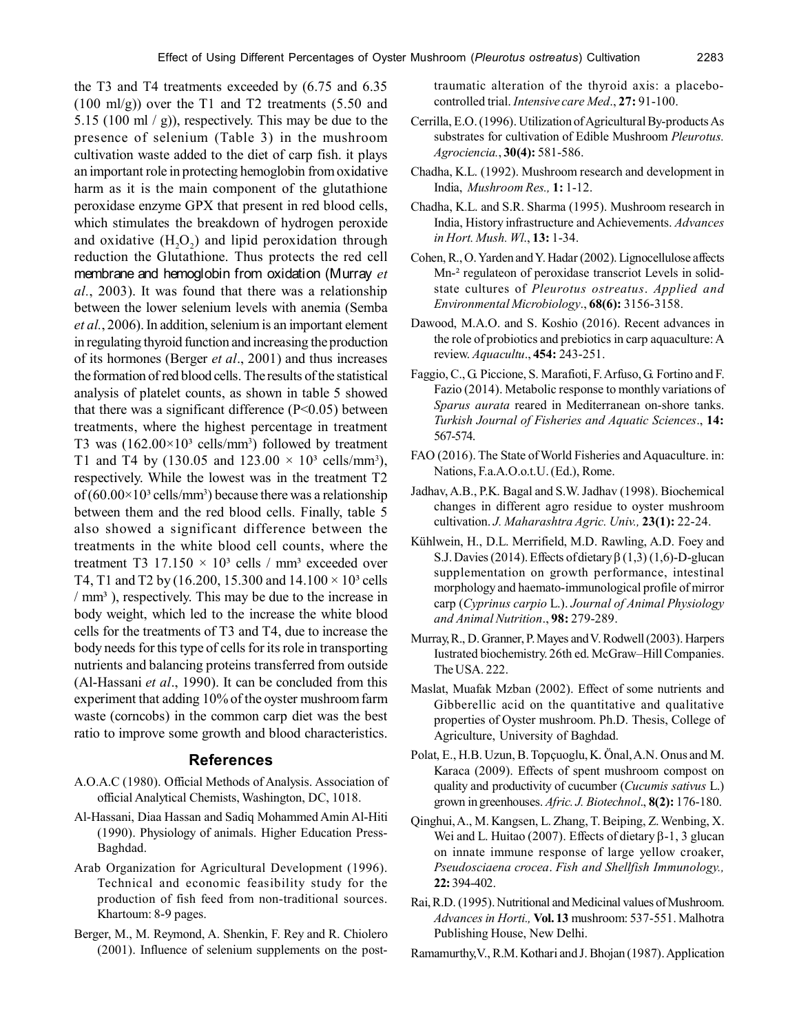the T3 and T4 treatments exceeded by (6.75 and 6.35 (100 ml/g)) over the T1 and T2 treatments (5.50 and 5.15 (100 ml / g)), respectively. This may be due to the presence of selenium (Table 3) in the mushroom cultivation waste added to the diet of carp fish. it plays an important role in protecting hemoglobin from oxidative harm as it is the main component of the glutathione peroxidase enzyme GPX that present in red blood cells, which stimulates the breakdown of hydrogen peroxide and oxidative  $(H_2O_2)$  and lipid peroxidation through reduction the Glutathione. Thus protects the red cell membrane and hemoglobin from oxidation (Murray *et al.*, 2003). It was found that there was a relationship between the lower selenium levels with anemia (Semba *et al.*, 2006). In addition, selenium is an important element in regulating thyroid function and increasing the production of its hormones (Berger *et al*., 2001) and thus increases the formation of red blood cells. The results of the statistical analysis of platelet counts, as shown in table 5 showed that there was a significant difference  $(P<0.05)$  between treatments, where the highest percentage in treatment T3 was  $(162.00\times10^{3} \text{ cells/mm}^3)$  followed by treatment T1 and T4 by (130.05 and  $123.00 \times 10^3$  cells/mm<sup>3</sup>), respectively. While the lowest was in the treatment T2 of  $(60.00\times10^{3} \text{ cells/mm}^{3})$  because there was a relationship between them and the red blood cells. Finally, table 5 also showed a significant difference between the treatments in the white blood cell counts, where the treatment T3 17.150  $\times$  10<sup>3</sup> cells / mm<sup>3</sup> exceeded over T4, T1 and T2 by (16.200, 15.300 and  $14.100 \times 10^3$  cells  $/mm<sup>3</sup>$ ), respectively. This may be due to the increase in body weight, which led to the increase the white blood cells for the treatments of T3 and T4, due to increase the body needs for this type of cells for its role in transporting nutrients and balancing proteins transferred from outside (Al-Hassani *et al*., 1990). It can be concluded from this experiment that adding 10% of the oyster mushroom farm waste (corncobs) in the common carp diet was the best ratio to improve some growth and blood characteristics.

#### **References**

- A.O.A.C (1980). Official Methods of Analysis. Association of official Analytical Chemists, Washington, DC, 1018.
- Al-Hassani, Diaa Hassan and Sadiq Mohammed Amin Al-Hiti (1990). Physiology of animals. Higher Education Press-Baghdad.
- Arab Organization for Agricultural Development (1996). Technical and economic feasibility study for the production of fish feed from non-traditional sources. Khartoum: 8-9 pages.
- Berger, M., M. Reymond, A. Shenkin, F. Rey and R. Chiolero (2001). Influence of selenium supplements on the post-

traumatic alteration of the thyroid axis: a placebocontrolled trial. *Intensive care Med*., **27:** 91-100.

- Cerrilla, E.O. (1996). Utilization of Agricultural By-products As substrates for cultivation of Edible Mushroom *Pleurotus. Agrociencia.*, **30(4):** 581-586.
- Chadha, K.L. (1992). Mushroom research and development in India, *Mushroom Res.,* **1:** 1-12.
- Chadha, K.L. and S.R. Sharma (1995). Mushroom research in India, History infrastructure and Achievements. *Advances in Hort. Mush. Wl*., **13:** 1-34.
- Cohen, R., O. Yarden and Y. Hadar (2002). Lignocellulose affects Mn<sup>-2</sup> regulateon of peroxidase transcriot Levels in solidstate cultures of *Pleurotus ostreatus*. *Applied and Environmental Microbiology*., **68(6):** 3156-3158.
- Dawood, M.A.O. and S. Koshio (2016). Recent advances in the role of probiotics and prebiotics in carp aquaculture: A review. *Aquacultu*., **454:** 243-251.
- Faggio, C., G. Piccione, S. Marafioti, F. Arfuso, G. Fortino and F. Fazio (2014). Metabolic response to monthly variations of *Sparus aurata* reared in Mediterranean on-shore tanks. *Turkish Journal of Fisheries and Aquatic Sciences*., **14:** 567-574.
- FAO (2016). The State of World Fisheries and Aquaculture. in: Nations, F.a.A.O.o.t.U. (Ed.), Rome.
- Jadhav, A.B., P.K. Bagal and S.W. Jadhav (1998). Biochemical changes in different agro residue to oyster mushroom cultivation. *J. Maharashtra Agric. Univ.,* **23(1):** 22-24.
- Kühlwein, H., D.L. Merrifield, M.D. Rawling, A.D. Foey and S.J. Davies (2014). Effects of dietary  $\beta$  (1,3) (1,6)-D-glucan supplementation on growth performance, intestinal morphology and haemato-immunological profile of mirror carp (*Cyprinus carpio* L.). *Journal of Animal Physiology and Animal Nutrition*., **98:** 279-289.
- Murray, R., D. Granner, P. Mayes and V. Rodwell (2003). Harpers Iustrated biochemistry. 26th ed. McGraw–Hill Companies. The USA. 222.
- Maslat, Muafak Mzban (2002). Effect of some nutrients and Gibberellic acid on the quantitative and qualitative properties of Oyster mushroom. Ph.D. Thesis, College of Agriculture, University of Baghdad.
- Polat, E., H.B. Uzun, B. Topçuoglu, K. Önal, A.N. Onus and M. Karaca (2009). Effects of spent mushroom compost on quality and productivity of cucumber (*Cucumis sativus* L.) grown in greenhouses. *Afric. J. Biotechnol*., **8(2):** 176-180.
- Qinghui, A., M. Kangsen, L. Zhang, T. Beiping, Z. Wenbing, X. Wei and L. Huitao (2007). Effects of dietary  $\beta$ -1, 3 glucan on innate immune response of large yellow croaker, *Pseudosciaena crocea*. *Fish and Shellfish Immunology.,* **22:** 394-402.
- Rai, R.D. (1995). Nutritional and Medicinal values of Mushroom. *Advances in Horti.,* **Vol. 13** mushroom: 537-551. Malhotra Publishing House, New Delhi.
- Ramamurthy,V., R.M. Kothari and J. Bhojan (1987). Application